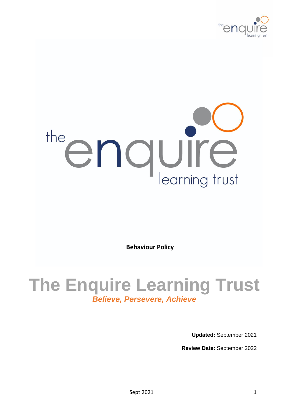

# the enquire

**Behaviour Policy**

# **The Enquire Learning Trust** *Believe, Persevere, Achieve*

**Updated:** September 2021

**Review Date:** September 2022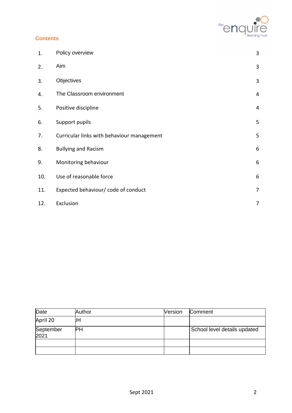

# **Contents**

| 1.  | Policy overview                            | 3              |
|-----|--------------------------------------------|----------------|
| 2.  | Aim                                        | $\mathbf{3}$   |
| 3.  | Objectives                                 | 3              |
| 4.  | The Classroom environment                  | $\overline{4}$ |
| 5.  | Positive discipline                        | 4              |
| 6.  | Support pupils                             | 5              |
| 7.  | Curricular links with behaviour management | 5              |
| 8.  | <b>Bullying and Racism</b>                 | 6              |
| 9.  | Monitoring behaviour                       | 6              |
| 10. | Use of reasonable force                    | 6              |
| 11. | Expected behaviour/ code of conduct        | $\overline{7}$ |
| 12. | Exclusion                                  | 7              |

| Date              | Author | Version | Comment                      |
|-------------------|--------|---------|------------------------------|
| April 20          | JĦ     |         |                              |
| September<br>2021 | PH     |         | School level details updated |
|                   |        |         |                              |
|                   |        |         |                              |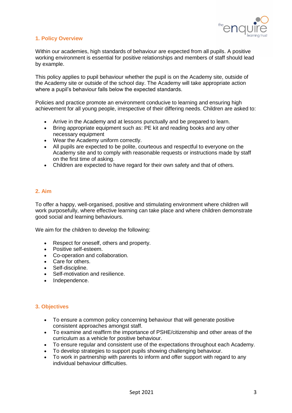

## **1. Policy Overview**

Within our academies, high standards of behaviour are expected from all pupils. A positive working environment is essential for positive relationships and members of staff should lead by example.

This policy applies to pupil behaviour whether the pupil is on the Academy site, outside of the Academy site or outside of the school day. The Academy will take appropriate action where a pupil's behaviour falls below the expected standards.

Policies and practice promote an environment conducive to learning and ensuring high achievement for all young people, irrespective of their differing needs. Children are asked to:

- Arrive in the Academy and at lessons punctually and be prepared to learn.
- Bring appropriate equipment such as: PE kit and reading books and any other necessary equipment
- Wear the Academy uniform correctly.
- All pupils are expected to be polite, courteous and respectful to everyone on the Academy site and to comply with reasonable requests or instructions made by staff on the first time of asking.
- Children are expected to have regard for their own safety and that of others.

#### **2. Aim**

To offer a happy, well-organised, positive and stimulating environment where children will work purposefully, where effective learning can take place and where children demonstrate good social and learning behaviours.

We aim for the children to develop the following:

- Respect for oneself, others and property.
- Positive self-esteem.
- Co-operation and collaboration.
- Care for others.
- Self-discipline.
- Self-motivation and resilience.
- Independence.

#### **3. Objectives**

- To ensure a common policy concerning behaviour that will generate positive consistent approaches amongst staff.
- To examine and reaffirm the importance of PSHE/citizenship and other areas of the curriculum as a vehicle for positive behaviour.
- To ensure regular and consistent use of the expectations throughout each Academy.
- To develop strategies to support pupils showing challenging behaviour.
- To work in partnership with parents to inform and offer support with regard to any individual behaviour difficulties.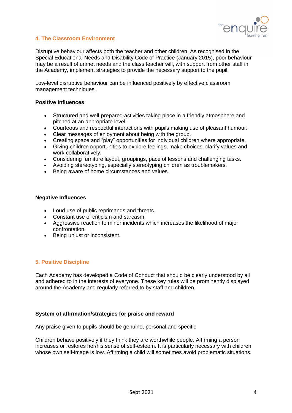

## **4. The Classroom Environment**

Disruptive behaviour affects both the teacher and other children. As recognised in the Special Educational Needs and Disability Code of Practice (January 2015), poor behaviour may be a result of unmet needs and the class teacher will, with support from other staff in the Academy, implement strategies to provide the necessary support to the pupil.

Low-level disruptive behaviour can be influenced positively by effective classroom management techniques.

#### **Positive Influences**

- Structured and well-prepared activities taking place in a friendly atmosphere and pitched at an appropriate level.
- Courteous and respectful interactions with pupils making use of pleasant humour.
- Clear messages of enjoyment about being with the group.
- Creating space and "play" opportunities for individual children where appropriate.
- Giving children opportunities to explore feelings, make choices, clarify values and work collaboratively.
- Considering furniture layout, groupings, pace of lessons and challenging tasks.
- Avoiding stereotyping, especially stereotyping children as troublemakers.
- Being aware of home circumstances and values.

#### **Negative Influences**

- Loud use of public reprimands and threats.
- Constant use of criticism and sarcasm.
- Aggressive reaction to minor incidents which increases the likelihood of major confrontation.
- Being unjust or inconsistent.

#### **5. Positive Discipline**

Each Academy has developed a Code of Conduct that should be clearly understood by all and adhered to in the interests of everyone. These key rules will be prominently displayed around the Academy and regularly referred to by staff and children.

#### **System of affirmation/strategies for praise and reward**

Any praise given to pupils should be genuine, personal and specific

Children behave positively if they think they are worthwhile people. Affirming a person increases or restores her/his sense of self-esteem. It is particularly necessary with children whose own self-image is low. Affirming a child will sometimes avoid problematic situations.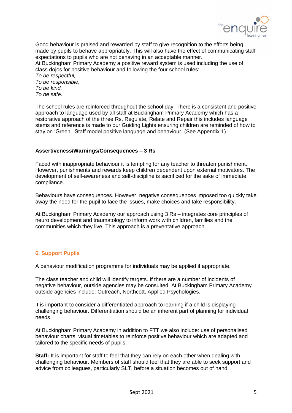

Good behaviour is praised and rewarded by staff to give recognition to the efforts being made by pupils to behave appropriately. This will also have the effect of communicating staff expectations to pupils who are not behaving in an acceptable manner. At Buckingham Primary Academy a positive reward system is used including the use of class dojos for positive behaviour and following the four school rules: *To be respectful, To be responsible, To be kind, To be safe.* 

The school rules are reinforced throughout the school day. There is a consistent and positive approach to language used by all staff at Buckingham Primary Academy which has a restorative approach of the three Rs, Regulate, Relate and Repair this includes language stems and reference is made to our Guiding Lights ensuring children are reminded of how to stay on 'Green'. Staff model positive language and behaviour. (See Appendix 1)

#### **Assertiveness/Warnings/Consequences – 3 Rs**

Faced with inappropriate behaviour it is tempting for any teacher to threaten punishment. However, punishments and rewards keep children dependent upon external motivators. The development of self-awareness and self-discipline is sacrificed for the sake of immediate compliance.

Behaviours have consequences. However, negative consequences imposed too quickly take away the need for the pupil to face the issues, make choices and take responsibility.

At Buckingham Primary Academy our approach using 3 Rs – integrates core principles of neuro development and traumatology to inform work with children, families and the communities which they live. This approach is a preventative approach.

#### **6. Support Pupils**

A behaviour modification programme for individuals may be applied if appropriate.

The class teacher and child will identify targets. If there are a number of incidents of negative behaviour, outside agencies may be consulted. At Buckingham Primary Academy outside agencies include: Outreach, Northcott, Applied Psychologies.

It is important to consider a differentiated approach to learning if a child is displaying challenging behaviour. Differentiation should be an inherent part of planning for individual needs.

At Buckingham Primary Academy in addition to FTT we also include: use of personalised behaviour charts, visual timetables to reinforce positive behaviour which are adapted and tailored to the specific needs of pupils.

**Staff:** It is important for staff to feel that they can rely on each other when dealing with challenging behaviour. Members of staff should feel that they are able to seek support and advice from colleagues, particularly SLT, before a situation becomes out of hand.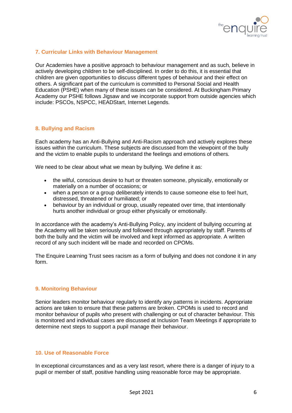

#### **7. Curricular Links with Behaviour Management**

Our Academies have a positive approach to behaviour management and as such, believe in actively developing children to be self-disciplined. In order to do this, it is essential that children are given opportunities to discuss different types of behaviour and their effect on others. A significant part of the curriculum is committed to Personal Social and Health Education (PSHE) when many of these issues can be considered. At Buckingham Primary Academy our PSHE follows Jigsaw and we incorporate support from outside agencies which include: PSCOs, NSPCC, HEADStart, Internet Legends.

#### **8. Bullying and Racism**

Each academy has an Anti-Bullying and Anti-Racism approach and actively explores these issues within the curriculum. These subjects are discussed from the viewpoint of the bully and the victim to enable pupils to understand the feelings and emotions of others.

We need to be clear about what we mean by bullying. We define it as:

- the wilful, conscious desire to hurt or threaten someone, physically, emotionally or materially on a number of occasions; or
- when a person or a group deliberately intends to cause someone else to feel hurt, distressed, threatened or humiliated; or
- behaviour by an individual or group, usually repeated over time, that intentionally hurts another individual or group either physically or emotionally.

In accordance with the academy's Anti-Bullying Policy, any incident of bullying occurring at the Academy will be taken seriously and followed through appropriately by staff. Parents of both the bully and the victim will be involved and kept informed as appropriate. A written record of any such incident will be made and recorded on CPOMs.

The Enquire Learning Trust sees racism as a form of bullying and does not condone it in any form.

#### **9. Monitoring Behaviour**

Senior leaders monitor behaviour regularly to identify any patterns in incidents. Appropriate actions are taken to ensure that these patterns are broken. CPOMs is used to record and monitor behaviour of pupils who present with challenging or out of character behaviour. This is monitored and individual cases are discussed at Inclusion Team Meetings if appropriate to determine next steps to support a pupil manage their behaviour.

#### **10. Use of Reasonable Force**

In exceptional circumstances and as a very last resort, where there is a danger of injury to a pupil or member of staff, positive handling using reasonable force may be appropriate.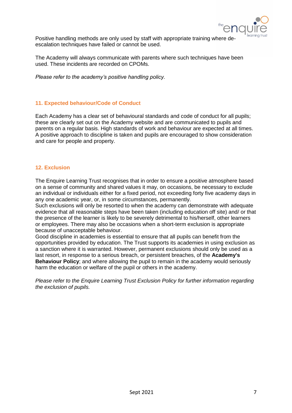

Positive handling methods are only used by staff with appropriate training where deescalation techniques have failed or cannot be used.

The Academy will always communicate with parents where such techniques have been used. These incidents are recorded on CPOMs.

*Please refer to the academy's positive handling policy.* 

#### **11. Expected behaviour/Code of Conduct**

Each Academy has a clear set of behavioural standards and code of conduct for all pupils; these are clearly set out on the Academy website and are communicated to pupils and parents on a regular basis. High standards of work and behaviour are expected at all times. A positive approach to discipline is taken and pupils are encouraged to show consideration and care for people and property.

#### **12. Exclusion**

The Enquire Learning Trust recognises that in order to ensure a positive atmosphere based on a sense of community and shared values it may, on occasions, be necessary to exclude an individual or individuals either for a fixed period, not exceeding forty five academy days in any one academic year, or, in some circumstances, permanently.

Such exclusions will only be resorted to when the academy can demonstrate with adequate evidence that all reasonable steps have been taken (including education off site) and/ or that the presence of the learner is likely to be severely detrimental to his/herself, other learners or employees. There may also be occasions when a short-term exclusion is appropriate because of unacceptable behaviour.

Good discipline in academies is essential to ensure that all pupils can benefit from the opportunities provided by education. The Trust supports its academies in using exclusion as a sanction where it is warranted. However, permanent exclusions should only be used as a last resort, in response to a serious breach, or persistent breaches, of the **Academy's Behaviour Policy**; and where allowing the pupil to remain in the academy would seriously harm the education or welfare of the pupil or others in the academy.

*Please refer to the Enquire Learning Trust Exclusion Policy for further information regarding the exclusion of pupils.*